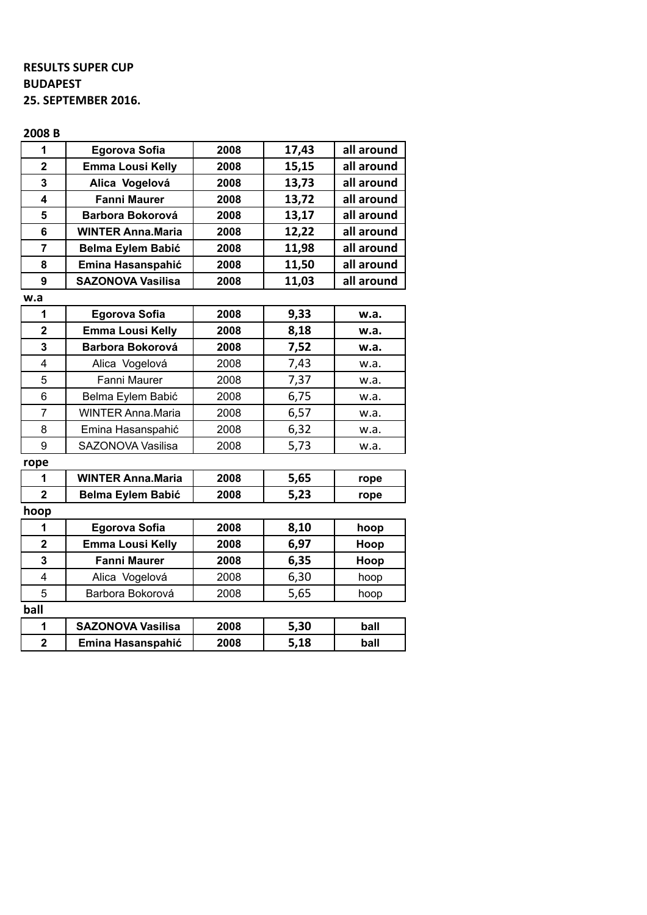# **RESULTS SUPER CUP BUDAPEST 25. SEPTEMBER 2016.**

**2008 B**

| 1                       | Egorova Sofia            | 2008 | 17,43 | all around |
|-------------------------|--------------------------|------|-------|------------|
| $\overline{2}$          | <b>Emma Lousi Kelly</b>  | 2008 | 15,15 | all around |
| 3                       | Alica Vogelová           | 2008 | 13,73 | all around |
| $\overline{\mathbf{4}}$ | <b>Fanni Maurer</b>      | 2008 | 13,72 | all around |
| 5                       | <b>Barbora Bokorová</b>  | 2008 | 13,17 | all around |
| 6                       | <b>WINTER Anna.Maria</b> | 2008 | 12,22 | all around |
| $\overline{7}$          | <b>Belma Eylem Babić</b> | 2008 | 11,98 | all around |
| 8                       | Emina Hasanspahić        | 2008 | 11,50 | all around |
| 9                       | <b>SAZONOVA Vasilisa</b> | 2008 | 11,03 | all around |
| w.a                     |                          |      |       |            |
| 1                       | Egorova Sofia            | 2008 | 9,33  | w.a.       |
| $\mathbf 2$             | <b>Emma Lousi Kelly</b>  | 2008 | 8,18  | w.a.       |
| 3                       | <b>Barbora Bokorová</b>  | 2008 | 7,52  | w.a.       |
| 4                       | Alica Vogelová           | 2008 | 7,43  | w.a.       |
| 5                       | Fanni Maurer             | 2008 | 7,37  | w.a.       |
| 6                       | Belma Eylem Babić        | 2008 | 6,75  | w.a.       |
| $\overline{7}$          | <b>WINTER Anna Maria</b> | 2008 | 6,57  | w.a.       |
| 8                       | Emina Hasanspahić        | 2008 | 6,32  | w.a.       |
| 9                       | SAZONOVA Vasilisa        | 2008 | 5,73  | w.a.       |
| rope                    |                          |      |       |            |
| 1                       | <b>WINTER Anna.Maria</b> | 2008 | 5,65  | rope       |
| $\overline{2}$          | <b>Belma Eylem Babić</b> | 2008 | 5,23  | rope       |
| hoop                    |                          |      |       |            |
| 1                       | Egorova Sofia            | 2008 | 8,10  | hoop       |
| $\overline{\mathbf{2}}$ | <b>Emma Lousi Kelly</b>  | 2008 | 6,97  | Hoop       |
| 3                       | <b>Fanni Maurer</b>      | 2008 | 6,35  | Hoop       |
| 4                       | Alica Vogelová           | 2008 | 6,30  | hoop       |
| 5                       | Barbora Bokorová         | 2008 | 5,65  | hoop       |
| ball                    |                          |      |       |            |
| 1                       | <b>SAZONOVA Vasilisa</b> | 2008 | 5,30  | ball       |
| $\overline{\mathbf{2}}$ | Emina Hasanspahić        | 2008 | 5,18  | ball       |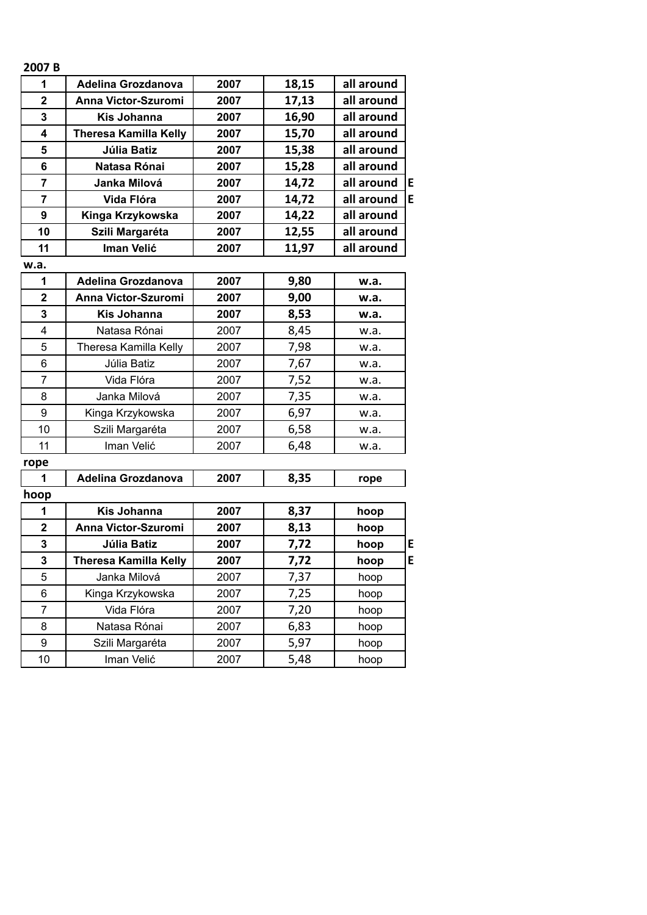| 2007B                   |                              |      |       |            |   |
|-------------------------|------------------------------|------|-------|------------|---|
| 1                       | <b>Adelina Grozdanova</b>    | 2007 | 18,15 | all around |   |
| $\overline{2}$          | <b>Anna Victor-Szuromi</b>   | 2007 | 17,13 | all around |   |
| 3                       | Kis Johanna                  | 2007 | 16,90 | all around |   |
| 4                       | <b>Theresa Kamilla Kelly</b> | 2007 | 15,70 | all around |   |
| 5                       | Júlia Batiz                  | 2007 | 15,38 | all around |   |
| 6                       | Natasa Rónai                 | 2007 | 15,28 | all around |   |
| 7                       | Janka Milová                 | 2007 | 14,72 | all around | E |
| $\overline{\mathbf{7}}$ | Vida Flóra                   | 2007 | 14,72 | all around | E |
| 9                       | Kinga Krzykowska             | 2007 | 14,22 | all around |   |
| 10                      | Szili Margaréta              | 2007 | 12,55 | all around |   |
| 11                      | Iman Velić                   | 2007 | 11,97 | all around |   |
| w.a.                    |                              |      |       |            |   |
| 1                       | Adelina Grozdanova           | 2007 | 9,80  | w.a.       |   |
| $\mathbf 2$             | <b>Anna Victor-Szuromi</b>   | 2007 | 9,00  | w.a.       |   |
| 3                       | Kis Johanna                  | 2007 | 8,53  | w.a.       |   |
| 4                       | Natasa Rónai                 | 2007 | 8,45  | w.a.       |   |
| 5                       | Theresa Kamilla Kelly        | 2007 | 7,98  | w.a.       |   |
| 6                       | Júlia Batiz                  | 2007 | 7,67  | w.a.       |   |
| 7                       | Vida Flóra                   | 2007 | 7,52  | w.a.       |   |
| 8                       | Janka Milová                 | 2007 | 7,35  | w.a.       |   |
| 9                       | Kinga Krzykowska             | 2007 | 6,97  | w.a.       |   |
| 10                      | Szili Margaréta              | 2007 | 6,58  | w.a.       |   |
| 11                      | Iman Velić                   | 2007 | 6,48  | w.a.       |   |
| rope                    |                              |      |       |            |   |
| 1                       | Adelina Grozdanova           | 2007 | 8,35  | rope       |   |
| hoop                    |                              |      |       |            |   |
| 1                       | <b>Kis Johanna</b>           | 2007 | 8,37  | hoop       |   |
| $\mathbf 2$             | <b>Anna Victor-Szuromi</b>   | 2007 | 8,13  | hoop       |   |
| 3                       | Júlia Batiz                  | 2007 | 7,72  | hoop       | F |
| 3                       | <b>Theresa Kamilla Kelly</b> | 2007 | 7,72  | hoop       | E |
| 5                       | Janka Milová                 | 2007 | 7,37  | hoop       |   |
| 6                       | Kinga Krzykowska             | 2007 | 7,25  | hoop       |   |
| $\overline{7}$          | Vida Flóra                   | 2007 | 7,20  | hoop       |   |
| 8                       | Natasa Rónai                 | 2007 | 6,83  | hoop       |   |
| 9                       | Szili Margaréta              | 2007 | 5,97  | hoop       |   |
| 10                      | Iman Velić                   | 2007 | 5,48  | hoop       |   |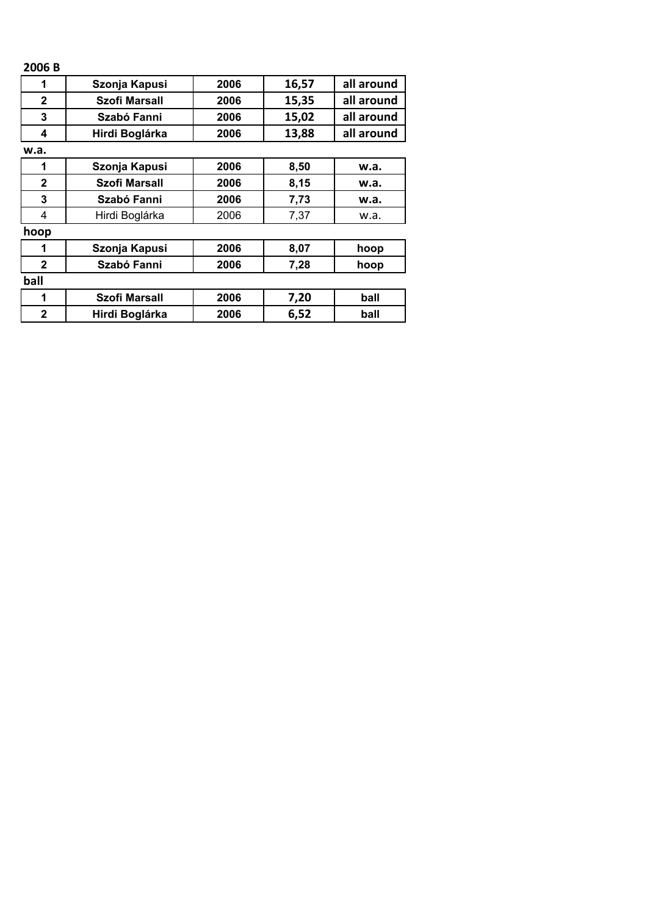| 2006 B       |                      |      |       |            |
|--------------|----------------------|------|-------|------------|
| 1            | Szonja Kapusi        | 2006 | 16,57 | all around |
| $\mathbf{2}$ | <b>Szofi Marsall</b> | 2006 | 15,35 | all around |
| 3            | Szabó Fanni          | 2006 | 15,02 | all around |
| 4            | Hirdi Boglárka       | 2006 | 13,88 | all around |
| w.a.         |                      |      |       |            |
| 1            | Szonja Kapusi        | 2006 | 8,50  | w.a.       |
| $\mathbf{2}$ | <b>Szofi Marsall</b> | 2006 | 8,15  | w.a.       |
| 3            | Szabó Fanni          | 2006 | 7,73  | w.a.       |
| 4            | Hirdi Boglárka       | 2006 | 7,37  | w.a.       |
| hoop         |                      |      |       |            |
| 1            | Szonja Kapusi        | 2006 | 8,07  | hoop       |
| $\mathbf{2}$ | Szabó Fanni          | 2006 | 7,28  | hoop       |
| ball         |                      |      |       |            |
| 1            | Szofi Marsall        | 2006 | 7,20  | ball       |
| $\mathbf{2}$ | Hirdi Boglárka       | 2006 | 6,52  | ball       |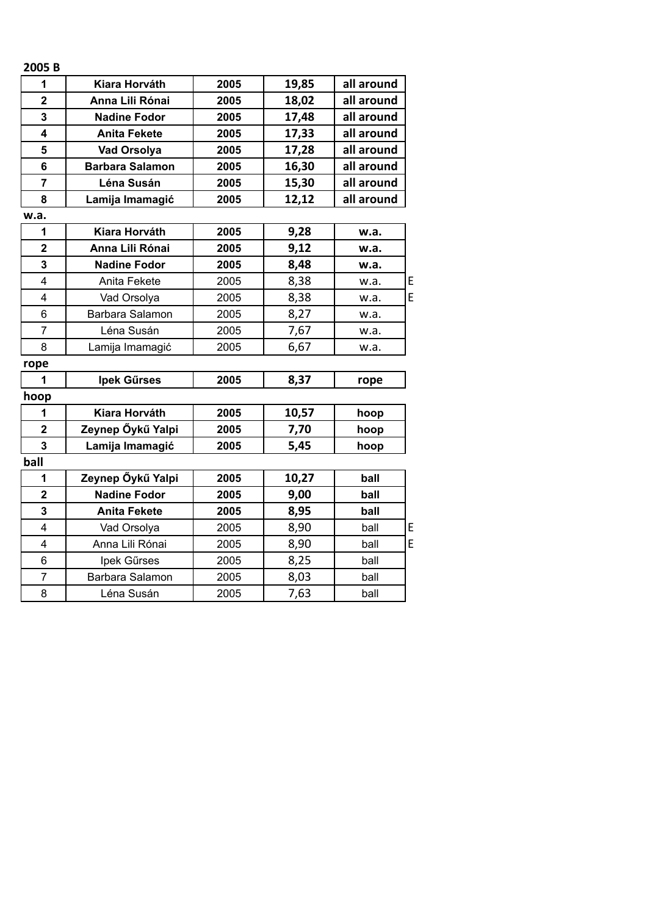| 2005B                   |                        |      |       |            |   |
|-------------------------|------------------------|------|-------|------------|---|
| 1                       | Kiara Horváth          | 2005 | 19,85 | all around |   |
| $\mathbf 2$             | Anna Lili Rónai        | 2005 | 18,02 | all around |   |
| 3                       | <b>Nadine Fodor</b>    | 2005 | 17,48 | all around |   |
| 4                       | <b>Anita Fekete</b>    | 2005 | 17,33 | all around |   |
| 5                       | <b>Vad Orsolya</b>     | 2005 | 17,28 | all around |   |
| 6                       | <b>Barbara Salamon</b> | 2005 | 16,30 | all around |   |
| 7                       | Léna Susán             | 2005 | 15,30 | all around |   |
| 8                       | Lamija Imamagić        | 2005 | 12,12 | all around |   |
| w.a.                    |                        |      |       |            |   |
| 1                       | Kiara Horváth          | 2005 | 9,28  | w.a.       |   |
| $\overline{\mathbf{2}}$ | Anna Lili Rónai        | 2005 | 9,12  | w.a.       |   |
| 3                       | <b>Nadine Fodor</b>    | 2005 | 8,48  | w.a.       |   |
| 4                       | Anita Fekete           | 2005 | 8,38  | w.a.       | E |
| 4                       | Vad Orsolya            | 2005 | 8,38  | w.a.       | E |
| 6                       | Barbara Salamon        | 2005 | 8,27  | w.a.       |   |
| $\overline{7}$          | Léna Susán             | 2005 | 7,67  | w.a.       |   |
| 8                       | Lamija Imamagić        | 2005 | 6,67  | w.a.       |   |
| rope                    |                        |      |       |            |   |
| 1                       | <b>Ipek Gűrses</b>     | 2005 | 8,37  | rope       |   |
| hoop                    |                        |      |       |            |   |
| 1                       | Kiara Horváth          | 2005 | 10,57 | hoop       |   |
| $\mathbf 2$             | Zeynep Őykű Yalpi      | 2005 | 7,70  | hoop       |   |
| 3                       | Lamija Imamagić        | 2005 | 5,45  | hoop       |   |
| ball                    |                        |      |       |            |   |
| 1                       | Zeynep Őykű Yalpi      | 2005 | 10,27 | ball       |   |
| $\overline{\mathbf{2}}$ | <b>Nadine Fodor</b>    | 2005 | 9,00  | ball       |   |
| 3                       | <b>Anita Fekete</b>    | 2005 | 8,95  | ball       |   |
| 4                       | Vad Orsolya            | 2005 | 8,90  | ball       | E |
| 4                       | Anna Lili Rónai        | 2005 | 8,90  | ball       | E |
| 6                       | Ipek Gűrses            | 2005 | 8,25  | ball       |   |
| 7                       | Barbara Salamon        | 2005 | 8,03  | ball       |   |
| 8                       | Léna Susán             | 2005 | 7,63  | ball       |   |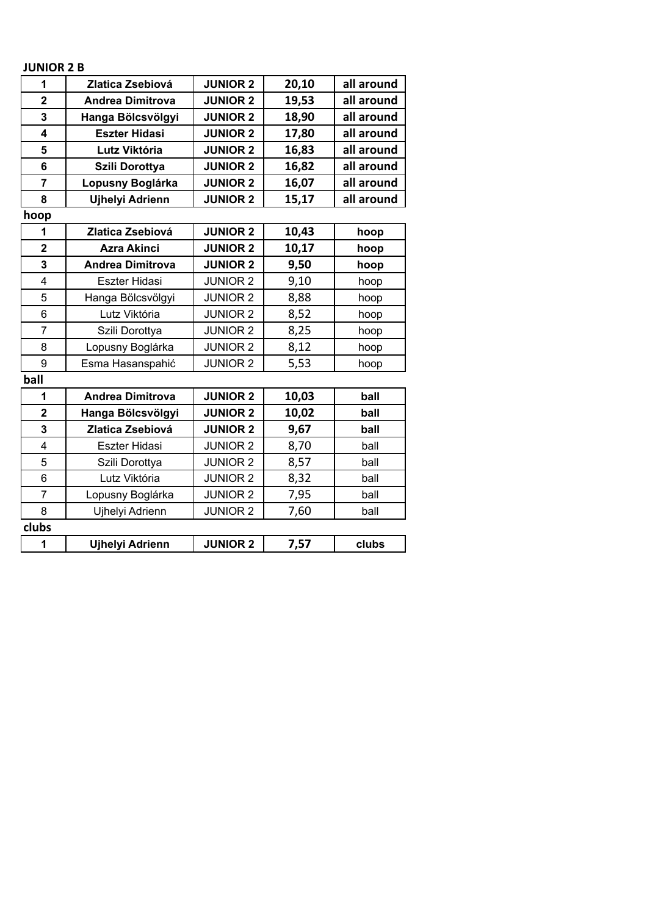### **JUNIOR 2 B**

| $\mathbf{1}$            | Zlatica Zsebiová        | <b>JUNIOR 2</b> | 20,10 | all around |
|-------------------------|-------------------------|-----------------|-------|------------|
| $\mathbf 2$             | <b>Andrea Dimitrova</b> | <b>JUNIOR 2</b> | 19,53 | all around |
| 3                       | Hanga Bölcsvölgyi       | <b>JUNIOR 2</b> | 18,90 | all around |
| 4                       | <b>Eszter Hidasi</b>    | <b>JUNIOR 2</b> | 17,80 | all around |
| 5                       | Lutz Viktória           | <b>JUNIOR 2</b> | 16,83 | all around |
| 6                       | Szili Dorottya          | <b>JUNIOR 2</b> | 16,82 | all around |
| $\overline{7}$          | Lopusny Boglárka        | <b>JUNIOR 2</b> | 16,07 | all around |
| 8                       | <b>Ujhelyi Adrienn</b>  | <b>JUNIOR 2</b> | 15,17 | all around |
| hoop                    |                         |                 |       |            |
| 1                       | Zlatica Zsebiová        | <b>JUNIOR 2</b> | 10,43 | hoop       |
| $\overline{2}$          | <b>Azra Akinci</b>      | <b>JUNIOR 2</b> | 10,17 | hoop       |
| 3                       | <b>Andrea Dimitrova</b> | <b>JUNIOR 2</b> | 9,50  | hoop       |
| $\overline{4}$          | <b>Eszter Hidasi</b>    | <b>JUNIOR 2</b> | 9,10  | hoop       |
| 5                       | Hanga Bölcsvölgyi       | <b>JUNIOR 2</b> | 8,88  | hoop       |
| 6                       | Lutz Viktória           | <b>JUNIOR 2</b> | 8,52  | hoop       |
| 7                       | Szili Dorottya          | <b>JUNIOR 2</b> | 8,25  | hoop       |
| 8                       | Lopusny Boglárka        | <b>JUNIOR 2</b> | 8,12  | hoop       |
| 9                       | Esma Hasanspahić        | <b>JUNIOR 2</b> | 5,53  | hoop       |
| ball                    |                         |                 |       |            |
| 1                       | <b>Andrea Dimitrova</b> | <b>JUNIOR 2</b> | 10,03 | ball       |
| $\overline{2}$          | Hanga Bölcsvölgyi       | <b>JUNIOR 2</b> | 10,02 | ball       |
| 3                       | Zlatica Zsebiová        | <b>JUNIOR 2</b> | 9,67  | ball       |
| $\overline{\mathbf{4}}$ | <b>Eszter Hidasi</b>    | <b>JUNIOR 2</b> | 8,70  | ball       |
| 5                       | Szili Dorottya          | <b>JUNIOR 2</b> | 8,57  | ball       |
| 6                       | Lutz Viktória           | <b>JUNIOR 2</b> | 8,32  | ball       |
| 7                       | Lopusny Boglárka        | <b>JUNIOR 2</b> | 7,95  | ball       |
| 8                       | Ujhelyi Adrienn         | <b>JUNIOR 2</b> | 7,60  | ball       |
| clubs                   |                         |                 |       |            |
| 1                       | <b>Ujhelyi Adrienn</b>  | <b>JUNIOR 2</b> | 7,57  | clubs      |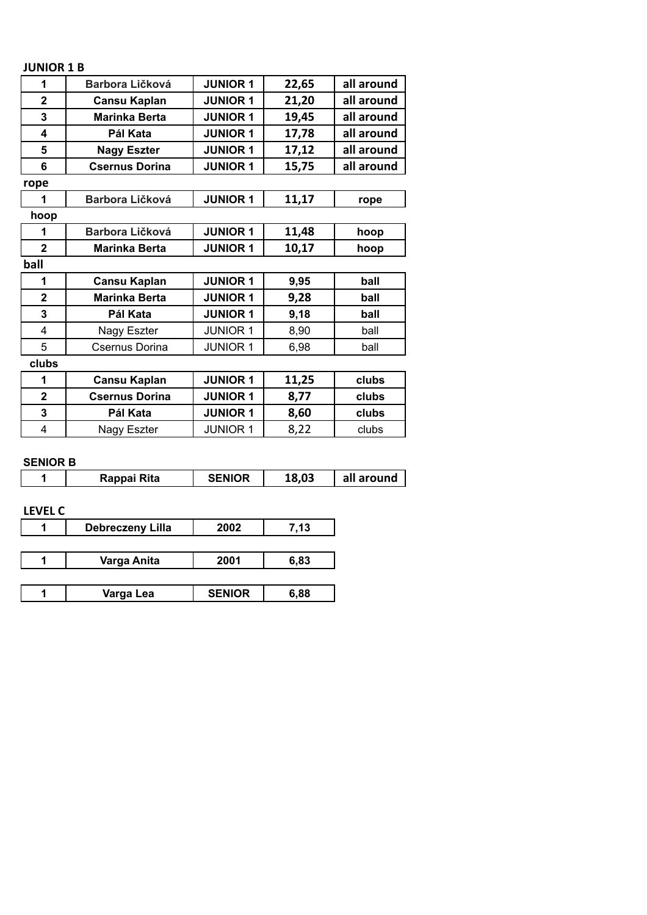## **JUNIOR 1 B**

| 1              | Barbora Ličková        | <b>JUNIOR 1</b> | 22,65 | all around |
|----------------|------------------------|-----------------|-------|------------|
| $\mathbf{2}$   | <b>Cansu Kaplan</b>    | <b>JUNIOR 1</b> | 21,20 | all around |
| 3              | <b>Marinka Berta</b>   | <b>JUNIOR 1</b> | 19,45 | all around |
| 4              | Pál Kata               | <b>JUNIOR 1</b> | 17,78 | all around |
| 5              | <b>Nagy Eszter</b>     | <b>JUNIOR 1</b> | 17,12 | all around |
| 6              | <b>Csernus Dorina</b>  | <b>JUNIOR 1</b> | 15,75 | all around |
| rope           |                        |                 |       |            |
| 1              | <b>Barbora Ličková</b> | <b>JUNIOR 1</b> | 11,17 | rope       |
| hoop           |                        |                 |       |            |
| 1              | Barbora Ličková        | <b>JUNIOR 1</b> | 11,48 | hoop       |
| $\mathbf{2}$   | <b>Marinka Berta</b>   | <b>JUNIOR 1</b> | 10,17 | hoop       |
| ball           |                        |                 |       |            |
| 1              | <b>Cansu Kaplan</b>    | <b>JUNIOR 1</b> | 9,95  | ball       |
| $\overline{2}$ | <b>Marinka Berta</b>   | <b>JUNIOR 1</b> | 9,28  | ball       |
| 3              | Pál Kata               | <b>JUNIOR 1</b> | 9,18  | ball       |
| 4              | Nagy Eszter            | <b>JUNIOR 1</b> | 8,90  | ball       |
| 5              | Csernus Dorina         | <b>JUNIOR 1</b> | 6,98  | ball       |
| clubs          |                        |                 |       |            |
| 1              | <b>Cansu Kaplan</b>    | <b>JUNIOR 1</b> | 11,25 | clubs      |
| $\mathbf{2}$   | <b>Csernus Dorina</b>  | <b>JUNIOR 1</b> | 8,77  | clubs      |
| 3              | Pál Kata               | <b>JUNIOR 1</b> | 8,60  | clubs      |
| 4              | Nagy Eszter            | <b>JUNIOR 1</b> | 8,22  | clubs      |
|                |                        |                 |       |            |

# **SENIOR B**

| all around<br>18.03<br><b>SENIOR</b><br>Rappai Rita |
|-----------------------------------------------------|
|-----------------------------------------------------|

#### **LEVEL C**

| <b>LEVEL C</b> |                  |               |      |
|----------------|------------------|---------------|------|
|                | Debreczeny Lilla | 2002          | 7,13 |
|                |                  |               |      |
|                | Varga Anita      | 2001          | 6,83 |
|                |                  |               |      |
|                | Varga Lea        | <b>SENIOR</b> | 6,88 |